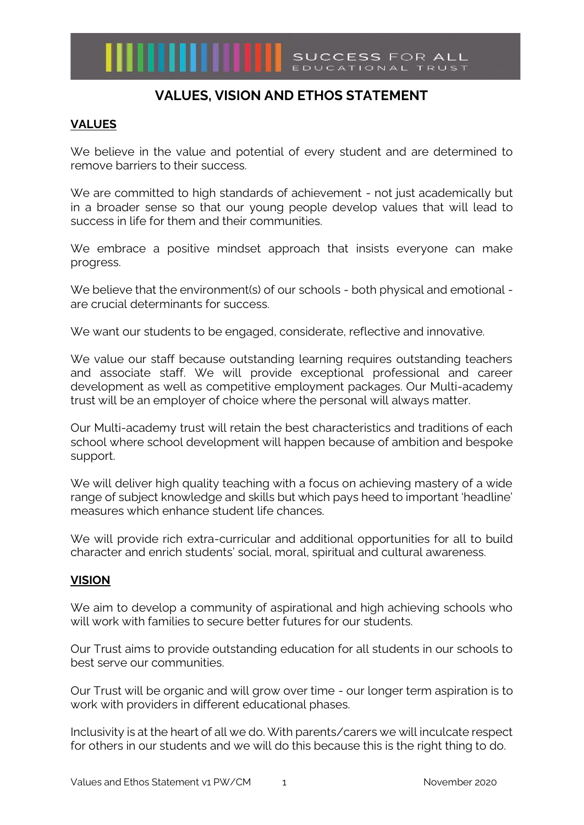

## **VALUES, VISION AND ETHOS STATEMENT**

## **VALUES**

We believe in the value and potential of every student and are determined to remove barriers to their success.

We are committed to high standards of achievement - not just academically but in a broader sense so that our young people develop values that will lead to success in life for them and their communities.

We embrace a positive mindset approach that insists everyone can make progress.

We believe that the environment(s) of our schools - both physical and emotional are crucial determinants for success.

We want our students to be engaged, considerate, reflective and innovative.

We value our staff because outstanding learning requires outstanding teachers and associate staff. We will provide exceptional professional and career development as well as competitive employment packages. Our Multi-academy trust will be an employer of choice where the personal will always matter.

Our Multi-academy trust will retain the best characteristics and traditions of each school where school development will happen because of ambition and bespoke support.

We will deliver high quality teaching with a focus on achieving mastery of a wide range of subject knowledge and skills but which pays heed to important 'headline' measures which enhance student life chances.

We will provide rich extra-curricular and additional opportunities for all to build character and enrich students' social, moral, spiritual and cultural awareness.

## **VISION**

We aim to develop a community of aspirational and high achieving schools who will work with families to secure better futures for our students.

Our Trust aims to provide outstanding education for all students in our schools to best serve our communities.

Our Trust will be organic and will grow over time - our longer term aspiration is to work with providers in different educational phases.

Inclusivity is at the heart of all we do. With parents/carers we will inculcate respect for others in our students and we will do this because this is the right thing to do.